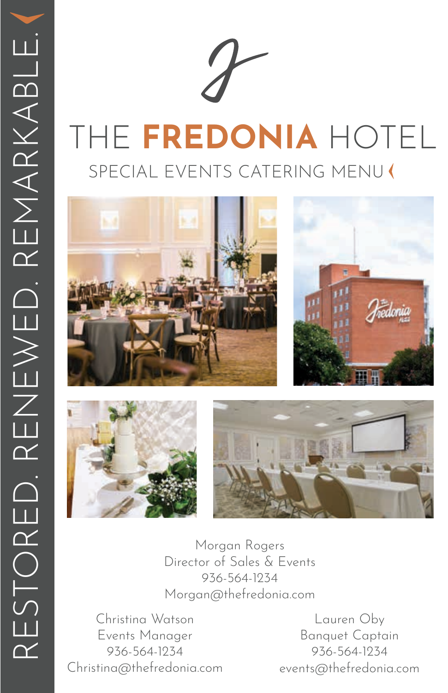







Morgan Rogers Director of Sales & Events 936-564-1234 Morgan@thefredonia.com

Christina Watson Events Manager 936-564-1234 Christina@thefredonia.com

Lauren Oby Banquet Captain 936-564-1234 events@thefredonia.com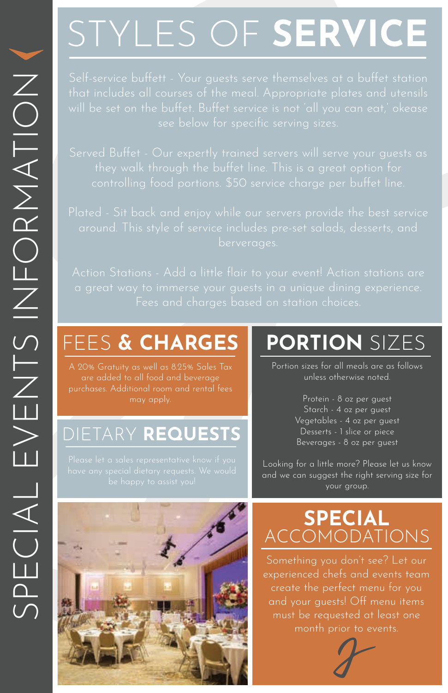# STYLES OF **SERVICE**

# FEES **& CHARGES**

A 20% Gratuity as well as 8.25% Sales Tax are added to all food and beverage

# DIETARY **REQUESTS**

# **PORTION** SIZES

Portion sizes for all meals are as follows unless otherwise noted.

> Protein - 8 oz per guest Starch - 4 oz per guest Vegetables - 4 oz per guest Desserts - 1 slice or piece Beverages - 8 oz per guest

Looking for a little more? Please let us know and we can suggest the right serving size for your group.

# **SPECIAL** ACCOMODATIONS

Something you don't see? Let our experienced chefs and events team create the perfect menu for you and your guests! Off menu items must be requested at least one month prior to events.



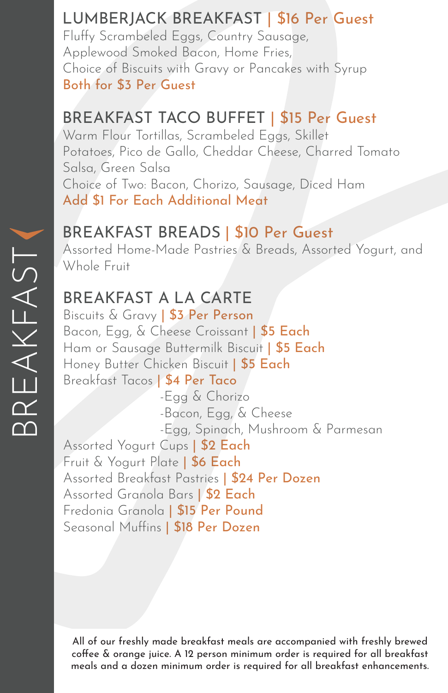# LUMBERJACK BREAKFAST | \$16 Per Guest

Fluffy Scrambeled Eggs, Country Sausage, Applewood Smoked Bacon, Home Fries, Choice of Biscuits with Gravy or Pancakes with Syrup Both for \$3 Per Guest

# BREAKFAST TACO BUFFET | \$15 Per Guest

Warm Flour Tortillas, Scrambeled Eggs, Skillet Potatoes, Pico de Gallo, Cheddar Cheese, Charred Tomato Salsa, Green Salsa Choice of Two: Bacon, Chorizo, Sausage, Diced Ham Add \$1 For Each Additional Meat

# BREAKFAST BREADS | \$10 Per Guest

Assorted Home-Made Pastries & Breads, Assorted Yogurt, and Whole Fruit

# BREAKFAST A LA CARTE

Biscuits & Gravy | \$3 Per Person Bacon, Egg, & Cheese Croissant | \$5 Each Ham or Sausage Buttermilk Biscuit | \$5 Each Honey Butter Chicken Biscuit | \$5 Each Breakfast Tacos | \$4 Per Taco -Egg & Chorizo -Bacon, Egg, & Cheese -Egg, Spinach, Mushroom & Parmesan Assorted Yogurt Cups | \$2 Each Fruit & Yogurt Plate | \$6 Each Assorted Breakfast Pastries | \$24 Per Dozen Assorted Granola Bars | \$2 Each Fredonia Granola | \$15 Per Pound Seasonal Muffins | \$18 Per Dozen

All of our freshly made breakfast meals are accompanied with freshly brewed coffee & orange juice. A 12 person minimum order is required for all breakfast meals and a dozen minimum order is required for all breakfast enhancements.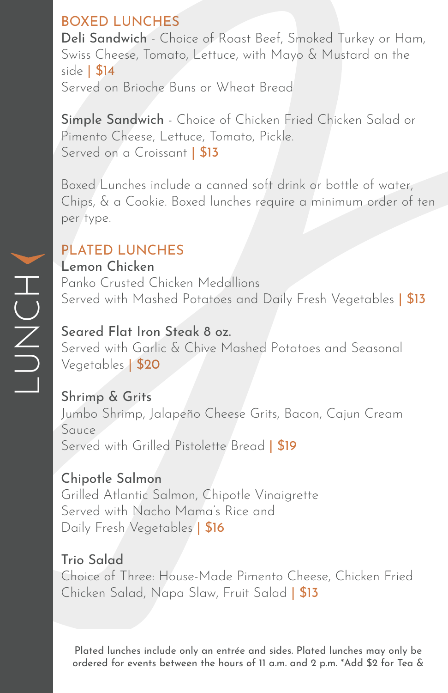# BOXED LUNCHES

Deli Sandwich - Choice of Roast Beef, Smoked Turkey or Ham, Swiss Cheese, Tomato, Lettuce, with Mayo & Mustard on the side | \$14 Served on Brioche Buns or Wheat Bread

Simple Sandwich - Choice of Chicken Fried Chicken Salad or Pimento Cheese, Lettuce, Tomato, Pickle. Served on a Croissant | \$13

Boxed Lunches include a canned soft drink or bottle of water, Chips, & a Cookie. Boxed lunches require a minimum order of ten per type.

# PLATED LUNCHES

#### Lemon Chicken

Panko Crusted Chicken Medallions Served with Mashed Potatoes and Daily Fresh Vegetables | \$13

#### Seared Flat Iron Steak 8 oz.

Served with Garlic & Chive Mashed Potatoes and Seasonal Vegetables | \$20

#### Shrimp & Grits

Jumbo Shrimp, Jalapeño Cheese Grits, Bacon, Cajun Cream Sauce Served with Grilled Pistolette Bread | \$19

#### Chipotle Salmon

Grilled Atlantic Salmon, Chipotle Vinaigrette Served with Nacho Mama's Rice and Daily Fresh Vegetables | \$16

# Trio Salad

Choice of Three: House-Made Pimento Cheese, Chicken Fried Chicken Salad, Napa Slaw, Fruit Salad | \$13

Plated lunches include only an entrée and sides. Plated lunches may only be ordered for events between the hours of 11 a.m. and 2 p.m. \*Add \$2 for Tea &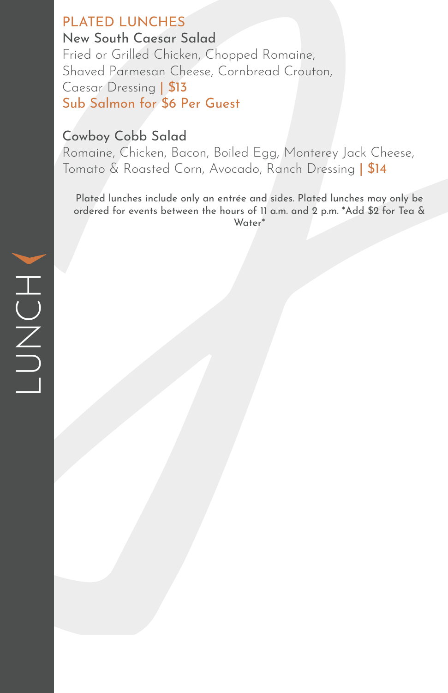#### PLATED LUNCHES New South Caesar Salad

Fried or Grilled Chicken, Chopped Romaine, Shaved Parmesan Cheese, Cornbread Crouton, Caesar Dressing | \$13 Sub Salmon for \$6 Per Guest

# Cowboy Cobb Salad

Romaine, Chicken, Bacon, Boiled Egg, Monterey Jack Cheese, Tomato & Roasted Corn, Avocado, Ranch Dressing | \$14

Plated lunches include only an entrée and sides. Plated lunches may only be ordered for events between the hours of 11 a.m. and 2 p.m. \*Add \$2 for Tea & Water\*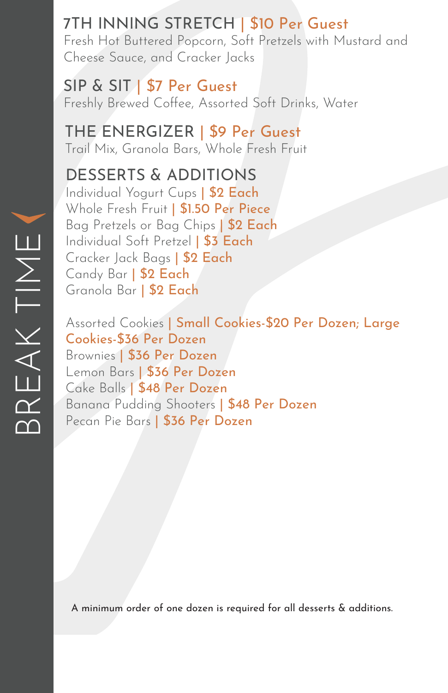### 7TH INNING STRETCH | \$10 Per Guest Fresh Hot Buttered Popcorn, Soft Pretzels with Mustard and Cheese Sauce, and Cracker Jacks

SIP & SIT | \$7 Per Guest Freshly Brewed Coffee, Assorted Soft Drinks, Water

THE ENERGIZER | \$9 Per Guest Trail Mix, Granola Bars, Whole Fresh Fruit

# DESSERTS & ADDITIONS

Individual Yogurt Cups | \$2 Each Whole Fresh Fruit | \$1.50 Per Piece Bag Pretzels or Bag Chips | \$2 Each Individual Soft Pretzel | \$3 Each Cracker Jack Bags | \$2 Each Candy Bar | \$2 Each Granola Bar | \$2 Each

Assorted Cookies | Small Cookies-\$20 Per Dozen; Large Cookies-\$36 Per Dozen Brownies | \$36 Per Dozen Lemon Bars | \$36 Per Dozen Cake Balls | \$48 Per Dozen Banana Pudding Shooters | \$48 Per Dozen Pecan Pie Bars | \$36 Per Dozen

A minimum order of one dozen is required for all desserts & additions.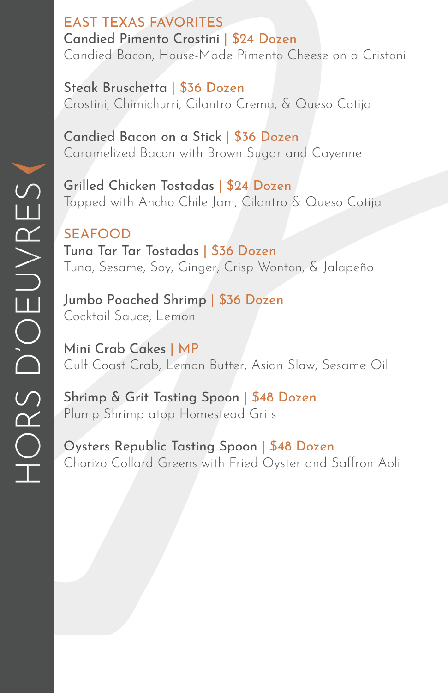EAST TEXAS FAVORITES Candied Pimento Crostini | \$24 Dozen Candied Bacon, House-Made Pimento Cheese on a Cristoni

Steak Bruschetta | \$36 Dozen Crostini, Chimichurri, Cilantro Crema, & Queso Cotija

Candied Bacon on a Stick | \$36 Dozen Caramelized Bacon with Brown Sugar and Cayenne

Grilled Chicken Tostadas | \$24 Dozen Topped with Ancho Chile Jam, Cilantro & Queso Cotija

SEAFOOD Tuna Tar Tar Tostadas | \$36 Dozen Tuna, Sesame, Soy, Ginger, Crisp Wonton, & Jalapeño

Jumbo Poached Shrimp | \$36 Dozen Cocktail Sauce, Lemon

Mini Crab Cakes | MP Gulf Coast Crab, Lemon Butter, Asian Slaw, Sesame Oil

Shrimp & Grit Tasting Spoon | \$48 Dozen Plump Shrimp atop Homestead Grits

Oysters Republic Tasting Spoon | \$48 Dozen Chorizo Collard Greens with Fried Oyster and Saffron Aoli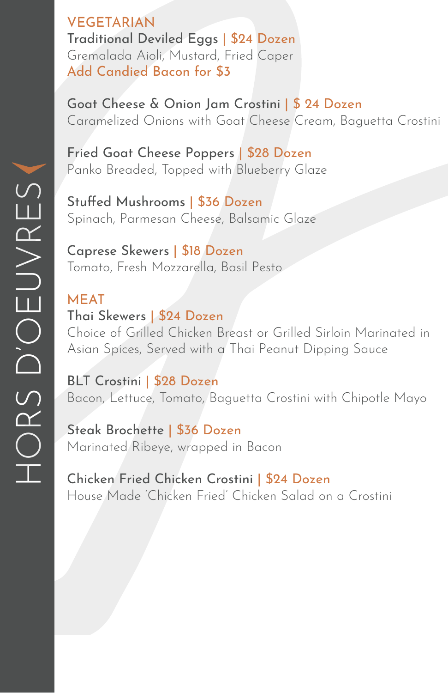VEGETARIAN Traditional Deviled Eggs | \$24 Dozen Gremalada Aioli, Mustard, Fried Caper Add Candied Bacon for \$3

Goat Cheese & Onion Jam Crostini | \$ 24 Dozen Caramelized Onions with Goat Cheese Cream, Baguetta Crostini

Fried Goat Cheese Poppers | \$28 Dozen Panko Breaded, Topped with Blueberry Glaze

Stuffed Mushrooms | \$36 Dozen Spinach, Parmesan Cheese, Balsamic Glaze

Caprese Skewers | \$18 Dozen Tomato, Fresh Mozzarella, Basil Pesto

MEAT Thai Skewers | \$24 Dozen Choice of Grilled Chicken Breast or Grilled Sirloin Marinated in Asian Spices, Served with a Thai Peanut Dipping Sauce

BLT Crostini | \$28 Dozen Bacon, Lettuce, Tomato, Baguetta Crostini with Chipotle Mayo

Steak Brochette | \$36 Dozen Marinated Ribeye, wrapped in Bacon

Chicken Fried Chicken Crostini | \$24 Dozen House Made 'Chicken Fried' Chicken Salad on a Crostini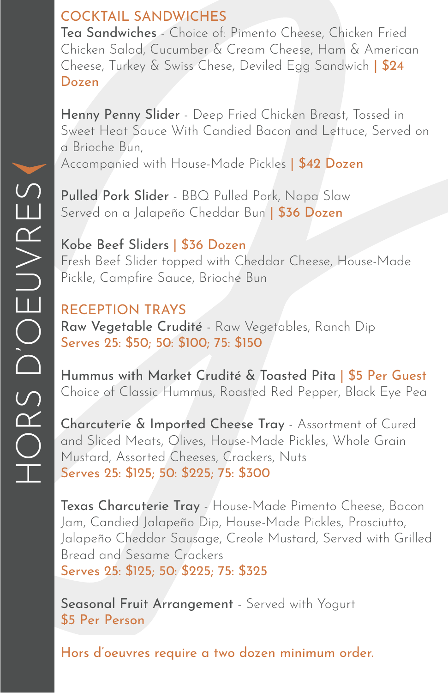# COCKTAIL SANDWICHES

Tea Sandwiches - Choice of: Pimento Cheese, Chicken Fried Chicken Salad, Cucumber & Cream Cheese, Ham & American Cheese, Turkey & Swiss Chese, Deviled Egg Sandwich | \$24 Dozen

Henny Penny Slider - Deep Fried Chicken Breast, Tossed in Sweet Heat Sauce With Candied Bacon and Lettuce, Served on a Brioche Bun,

Accompanied with House-Made Pickles | \$42 Dozen

Pulled Pork Slider - BBQ Pulled Pork, Napa Slaw Served on a Jalapeño Cheddar Bun | \$36 Dozen

Kobe Beef Sliders | \$36 Dozen Fresh Beef Slider topped with Cheddar Cheese, House-Made Pickle, Campfire Sauce, Brioche Bun

#### RECEPTION TRAYS Raw Vegetable Crudité - Raw Vegetables, Ranch Dip Serves 25: \$50; 50: \$100; 75: \$150

Hummus with Market Crudité & Toasted Pita | \$5 Per Guest Choice of Classic Hummus, Roasted Red Pepper, Black Eye Pea

Charcuterie & Imported Cheese Tray - Assortment of Cured and Sliced Meats, Olives, House-Made Pickles, Whole Grain Mustard, Assorted Cheeses, Crackers, Nuts Serves 25: \$125; 50: \$225; 75: \$300

Texas Charcuterie Tray - House-Made Pimento Cheese, Bacon Jam, Candied Jalapeño Dip, House-Made Pickles, Prosciutto, Jalapeño Cheddar Sausage, Creole Mustard, Served with Grilled Bread and Sesame Crackers Serves 25: \$125; 50: \$225; 75: \$325

Seasonal Fruit Arrangement - Served with Yogurt \$5 Per Person

Hors d'oeuvres require a two dozen minimum order.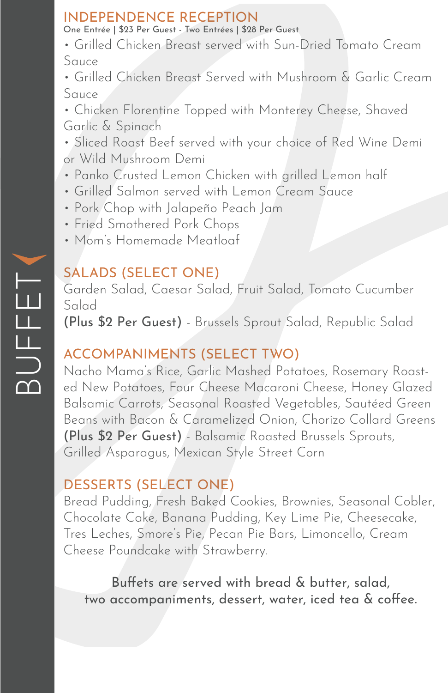# INDEPENDENCE RECEPTION

One Entrée | \$23 Per Guest - Two Entrées | \$28 Per Guest

• Grilled Chicken Breast served with Sun-Dried Tomato Cream Sauce

• Grilled Chicken Breast Served with Mushroom & Garlic Cream Sauce

• Chicken Florentine Topped with Monterey Cheese, Shaved Garlic & Spinach

• Sliced Roast Beef served with your choice of Red Wine Demi or Wild Mushroom Demi

- Panko Crusted Lemon Chicken with grilled Lemon half
- Grilled Salmon served with Lemon Cream Sauce
- Pork Chop with Jalapeño Peach Jam
- Fried Smothered Pork Chops
- Mom's Homemade Meatloaf

# SALADS (SELECT ONE)

Garden Salad, Caesar Salad, Fruit Salad, Tomato Cucumber Salad

(Plus \$2 Per Guest) - Brussels Sprout Salad, Republic Salad

# ACCOMPANIMENTS (SELECT TWO)

Nacho Mama's Rice, Garlic Mashed Potatoes, Rosemary Roasted New Potatoes, Four Cheese Macaroni Cheese, Honey Glazed Balsamic Carrots, Seasonal Roasted Vegetables, Sautéed Green Beans with Bacon & Caramelized Onion, Chorizo Collard Greens (Plus \$2 Per Guest) - Balsamic Roasted Brussels Sprouts, Grilled Asparagus, Mexican Style Street Corn

# DESSERTS (SELECT ONE)

Bread Pudding, Fresh Baked Cookies, Brownies, Seasonal Cobler, Chocolate Cake, Banana Pudding, Key Lime Pie, Cheesecake, Tres Leches, Smore's Pie, Pecan Pie Bars, Limoncello, Cream Cheese Poundcake with Strawberry.

Buffets are served with bread & butter, salad, two accompaniments, dessert, water, iced tea & coffee.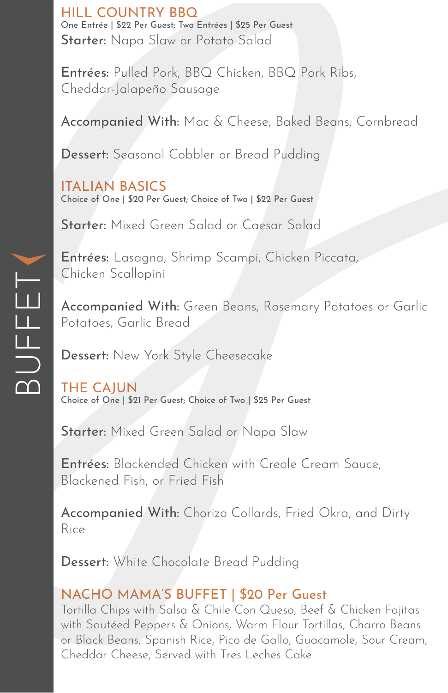HILL COUNTRY BBQ One Entrée | \$22 Per Guest; Two Entrées | \$25 Per Guest Starter: Napa Slaw or Potato Salad

Entrées: Pulled Pork, BBQ Chicken, BBQ Pork Ribs, Cheddar-Jalapeño Sausage

Accompanied With: Mac & Cheese, Baked Beans, Cornbread

Dessert: Seasonal Cobbler or Bread Pudding

ITALIAN BASICS Choice of One | \$20 Per Guest; Choice of Two | \$22 Per Guest

Starter: Mixed Green Salad or Caesar Salad

Entrées: Lasagna, Shrimp Scampi, Chicken Piccata, Chicken Scallopini

Accompanied With: Green Beans, Rosemary Potatoes or Garlic Potatoes, Garlic Bread

Dessert: New York Style Cheesecake

THE CAJUN Choice of One | \$21 Per Guest; Choice of Two | \$25 Per Guest

Starter: Mixed Green Salad or Napa Slaw

Entrées: Blackended Chicken with Creole Cream Sauce, Blackened Fish, or Fried Fish

Accompanied With: Chorizo Collards, Fried Okra, and Dirty Rice

Dessert: White Chocolate Bread Pudding

#### NACHO MAMA'S BUFFET | \$20 Per Guest

Tortilla Chips with Salsa & Chile Con Queso, Beef & Chicken Fajitas with Sautéed Peppers & Onions, Warm Flour Tortillas, Charro Beans or Black Beans, Spanish Rice, Pico de Gallo, Guacamole, Sour Cream, Cheddar Cheese, Served with Tres Leches Cake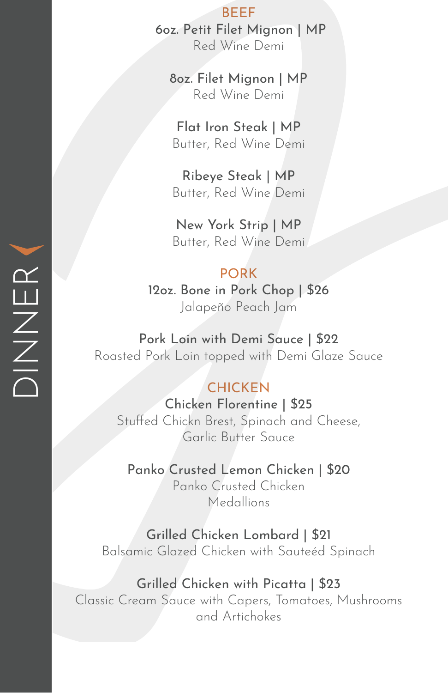BEEF 6oz. Petit Filet Mignon | MP Red Wine Demi

8oz. Filet Mignon | MP Red Wine Demi

Flat Iron Steak | MP Butter, Red Wine Demi

Ribeye Steak | MP Butter, Red Wine Demi

New York Strip | MP Butter, Red Wine Demi

#### PORK

12oz. Bone in Pork Chop | \$26 Jalapeño Peach Jam

Pork Loin with Demi Sauce | \$22 Roasted Pork Loin topped with Demi Glaze Sauce

#### **CHICKEN**

Chicken Florentine | \$25 Stuffed Chickn Brest, Spinach and Cheese, Garlic Butter Sauce

Panko Crusted Lemon Chicken | \$20 Panko Crusted Chicken

Medallions

Grilled Chicken Lombard | \$21 Balsamic Glazed Chicken with Sauteéd Spinach

#### Grilled Chicken with Picatta | \$23

Classic Cream Sauce with Capers, Tomatoes, Mushrooms and Artichokes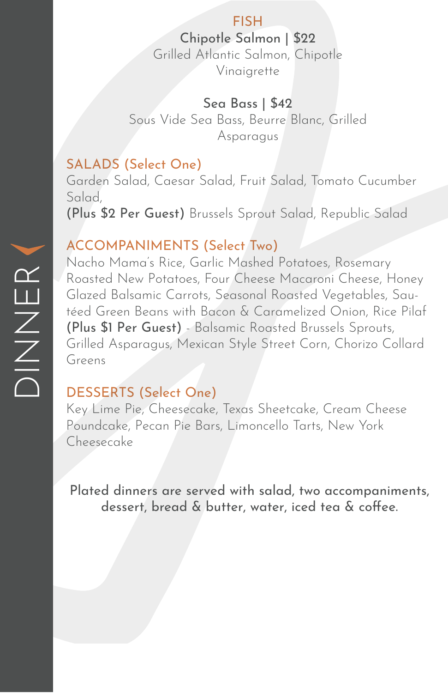#### FISH

Chipotle Salmon | \$22 Grilled Atlantic Salmon, Chipotle Vinaigrette

#### Sea Bass | \$42

Sous Vide Sea Bass, Beurre Blanc, Grilled Asparagus

#### SALADS (Select One)

Garden Salad, Caesar Salad, Fruit Salad, Tomato Cucumber Salad, (Plus \$2 Per Guest) Brussels Sprout Salad, Republic Salad

#### ACCOMPANIMENTS (Select Two)

Nacho Mama's Rice, Garlic Mashed Potatoes, Rosemary Roasted New Potatoes, Four Cheese Macaroni Cheese, Honey Glazed Balsamic Carrots, Seasonal Roasted Vegetables, Sautéed Green Beans with Bacon & Caramelized Onion, Rice Pilaf (Plus \$1 Per Guest) - Balsamic Roasted Brussels Sprouts, Grilled Asparagus, Mexican Style Street Corn, Chorizo Collard Greens

#### DESSERTS (Select One)

Key Lime Pie, Cheesecake, Texas Sheetcake, Cream Cheese Poundcake, Pecan Pie Bars, Limoncello Tarts, New York Cheesecake

Plated dinners are served with salad, two accompaniments, dessert, bread & butter, water, iced tea & coffee.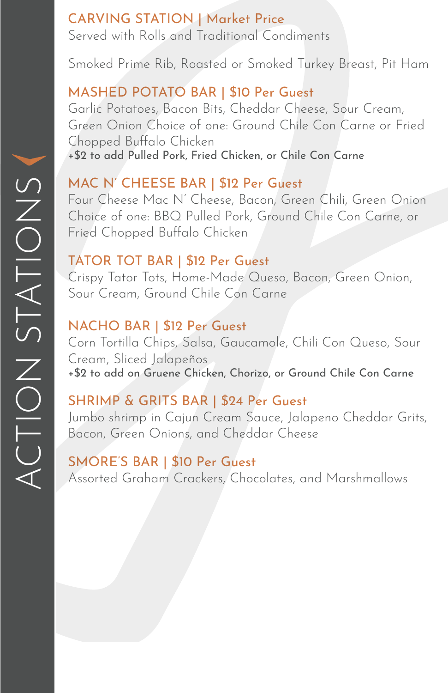## CARVING STATION | Market Price Served with Rolls and Traditional Condiments

Smoked Prime Rib, Roasted or Smoked Turkey Breast, Pit Ham

# MASHED POTATO BAR | \$10 Per Guest

Garlic Potatoes, Bacon Bits, Cheddar Cheese, Sour Cream, Green Onion Choice of one: Ground Chile Con Carne or Fried Chopped Buffalo Chicken +\$2 to add Pulled Pork, Fried Chicken, or Chile Con Carne

# MAC N' CHEESE BAR | \$12 Per Guest

Four Cheese Mac N' Cheese, Bacon, Green Chili, Green Onion Choice of one: BBQ Pulled Pork, Ground Chile Con Carne, or Fried Chopped Buffalo Chicken

### TATOR TOT BAR | \$12 Per Guest

Crispy Tator Tots, Home-Made Queso, Bacon, Green Onion, Sour Cream, Ground Chile Con Carne

# NACHO BAR | \$12 Per Guest

Corn Tortilla Chips, Salsa, Gaucamole, Chili Con Queso, Sour Cream, Sliced Jalapeños +\$2 to add on Gruene Chicken, Chorizo, or Ground Chile Con Carne

# SHRIMP & GRITS BAR | \$24 Per Guest

Jumbo shrimp in Cajun Cream Sauce, Jalapeno Cheddar Grits, Bacon, Green Onions, and Cheddar Cheese

# SMORE'S BAR | \$10 Per Guest

Assorted Graham Crackers, Chocolates, and Marshmallows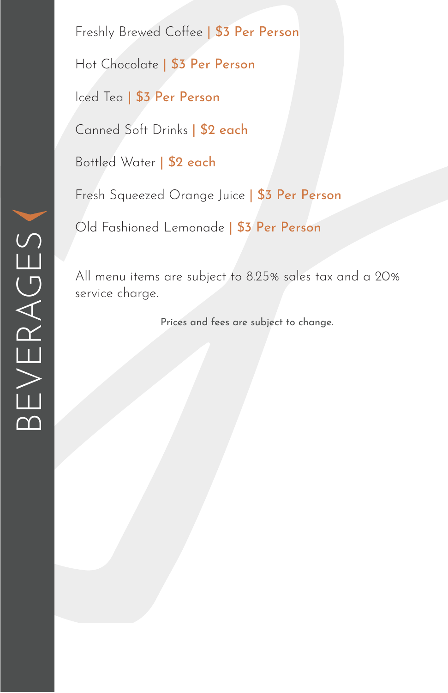Freshly Brewed Coffee | \$3 Per Person Hot Chocolate | \$3 Per Person Iced Tea | \$3 Per Person

Canned Soft Drinks | \$2 each

Bottled Water | \$2 each

Fresh Squeezed Orange Juice | \$3 Per Person

Old Fashioned Lemonade | \$3 Per Person

All menu items are subject to 8.25% sales tax and a 20% service charge.

Prices and fees are subject to change.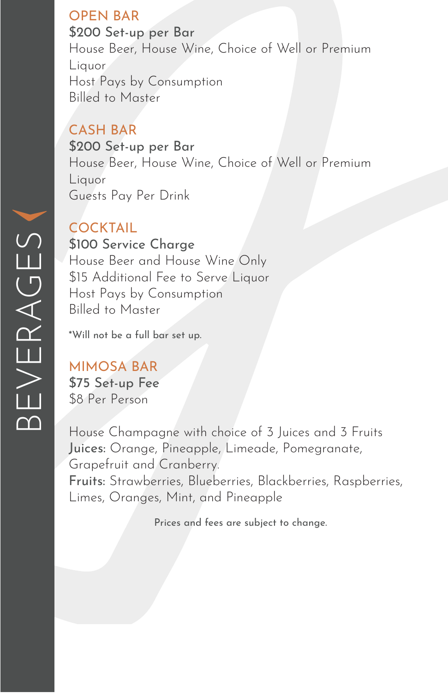### OPEN BAR

\$200 Set-up per Bar House Beer, House Wine, Choice of Well or Premium Liquor Host Pays by Consumption Billed to Master

# CASH BAR

\$200 Set-up per Bar House Beer, House Wine, Choice of Well or Premium Liquor Guests Pay Per Drink

### **COCKTAIL**

\$100 Service Charge House Beer and House Wine Only \$15 Additional Fee to Serve Liquor Host Pays by Consumption Billed to Master

\*Will not be a full bar set up.

# MIMOSA BAR

\$75 Set-up Fee \$8 Per Person

House Champagne with choice of 3 Juices and 3 Fruits Juices: Orange, Pineapple, Limeade, Pomegranate, Grapefruit and Cranberry. Fruits: Strawberries, Blueberries, Blackberries, Raspberries, Limes, Oranges, Mint, and Pineapple

Prices and fees are subject to change.